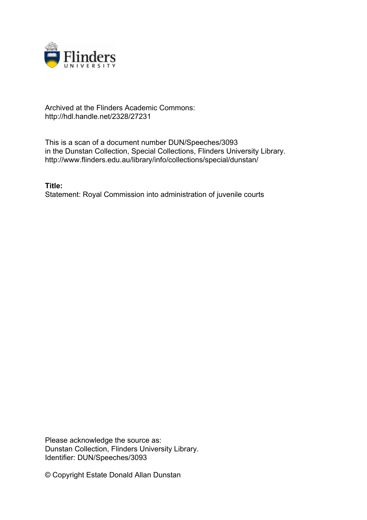

## Archived at the Flinders Academic Commons: http://hdl.handle.net/2328/27231

This is a scan of a document number DUN/Speeches/3093 in the Dunstan Collection, Special Collections, Flinders University Library. http://www.flinders.edu.au/library/info/collections/special/dunstan/

**Title:** Statement: Royal Commission into administration of juvenile courts

Please acknowledge the source as: Dunstan Collection, Flinders University Library. Identifier: DUN/Speeches/3093

© Copyright Estate Donald Allan Dunstan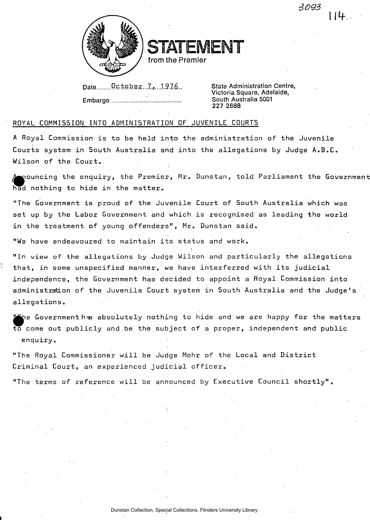

TATEMENT

from the Premier

| DateOctober7.,1976 |  |
|--------------------|--|
|                    |  |
|                    |  |

State Administration Centre, Victoria Square, Adelaide, South Australia 5001 227 2688

*3093* 

**I If** 

## ROYAL COMMISSION INTO ADMINISTRATION OF JUVENILE COURTS

A Royal Commission is to be held into the administration of the Juvenile Courts system in South Australia and into the allegations by Judge A.B.C. Wilson of the Court.

 $\bullet$ pouncing the enquiry, the Premier, Mr. Dunstan, told Parliament the Government had nothing to hide in the matter.

"The Government is proud of the Juvenile Court of South Australia which was set up by the Labor Government and which is recognised as leading the world in the treatment of young offenders", Mr. Dunstan said.

"We have endeavoured to maintain its status and work.

"In view of the allegations by Judge Wilson and particularly the allegations that, in some unspecified manner, we have interferred with its judicial independence, the Government has decided to appoint a Royal Commission into administration of the Juvenile Court system in South Australia and the Judge's allegations.

Government has absolutely nothing to hide and we are happy for the matters to come out publicly and be the subject of a proper, independent and public enquiry.

"The Royal Commissioner will be Judge Mohr of the Local and District Criminal Court, an experienced judicial officer.

"The terms of reference will be announced by Executive Council shortly".